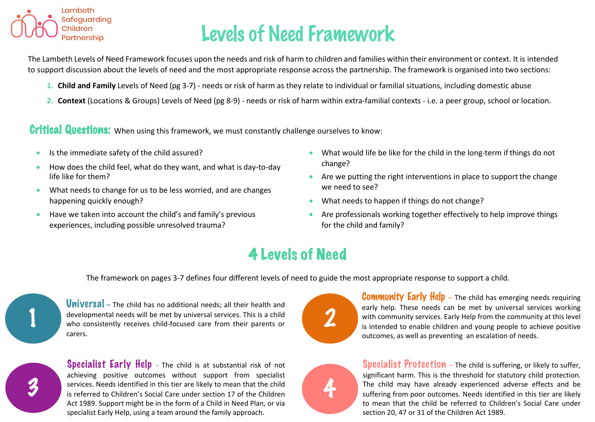

## Levels of Need Framework

The Lambeth Levels of Need Framework focuses upon the needs and risk of harm to children and families within their environment or context. It is intended to support discussion about the levels of need and the most appropriate response across the partnership. The framework is organised into two sections:

- **1. Child and Family** Levels of Need (pg 3-7) needs or risk of harm as they relate to individual or familial situations, including domestic abuse
- **2. Context** (Locations & Groups) Levels of Need (pg 8-9) needs or risk of harm within extra-familial contexts i.e. a peer group, school or location.

Critical Questions: When using this framework, we must constantly challenge ourselves to know:

- Is the immediate safety of the child assured?
- How does the child feel, what do they want, and what is day-to-day life like for them?
- What needs to change for us to be less worried, and are changes happening quickly enough?
- Have we taken into account the child's and family's previous experiences, including possible unresolved trauma?
- What would life be like for the child in the long-term if things do not change?
- Are we putting the right interventions in place to support the change we need to see?
- What needs to happen if things do not change?
- Are professionals working together effectively to help improve things for the child and family?

#### 4 Levels of Need

The framework on pages 3-7 defines four different levels of need to guide the most appropriate response to support a child.



Universal **–** The child has no additional needs; all their health and developmental needs will be met by universal services. This is a child who consistently receives child-focused care from their parents or carers.

**Specialist Early Help** - The child is at substantial risk of not achieving positive outcomes without support from specialist services. Needs identified in this tier are likely to mean that the child is referred to Children's Social Care under section 17 of the Children Act 1989. Support might be in the form of a Child in Need Plan, or via specialist Early Help, using a team around the family approach.



**Community Early Help**  $-$  The child has emerging needs requiring early help. These needs can be met by universal services working with community services. Early Help from the community at this level is intended to enable children and young people to achieve positive outcomes, as well as preventing an escalation of needs.



**Specialist Protection** – The child is suffering, or likely to suffer, significant harm. This is the threshold for statutory child protection. The child may have already experienced adverse effects and be suffering from poor outcomes. Needs identified in this tier are likely to mean that the child be referred to Children's Social Care under section 20, 47 or 31 of the Children Act 1989.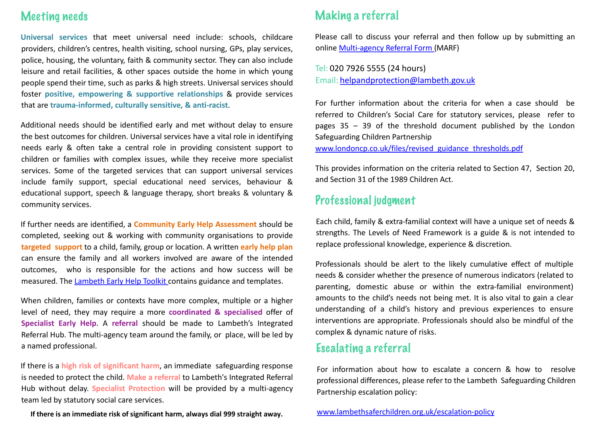#### Meeting needs

**Universal services** that meet universal need include: schools, childcare providers, children's centres, health visiting, school nursing, GPs, play services, police, housing, the voluntary, faith & community sector. They can also include leisure and retail facilities, & other spaces outside the home in which young people spend their time, such as parks & high streets. Universal services should foster **positive, empowering & supportive relationships** & provide services that are **trauma-informed, culturally sensitive, & anti-racist**.

Additional needs should be identified early and met without delay to ensure the best outcomes for children. Universal services have a vital role in identifying needs early & often take a central role in providing consistent support to children or families with complex issues, while they receive more specialist services. Some of the targeted services that can support universal services include family support, special educational need services, behaviour & educational support, speech & language therapy, short breaks & voluntary & community services.

If further needs are identified, a **Community Early Help Assessment** should be completed, seeking out & working with community organisations to provide **targeted support** to a child, family, group or location. A written **early help plan** can ensure the family and all workers involved are aware of the intended outcomes, who is responsible for the actions and how success will be measured. The [Lambeth](https://www.lambeth.gov.uk/sites/default/files/cyp-early-help-toolkit.pdf) Early Help Toolkit contains guidance and templates.

When children, families or contexts have more complex, multiple or a higher level of need, they may require a more **coordinated & specialised** offer of **Specialist Early Help**. A **referral** should be made to Lambeth's Integrated Referral Hub. The multi-agency team around the family, or place, will be led by a named professional.

If there is a **high risk of significant harm**, an immediate safeguarding response is needed to protect the child. **Make a referral** to Lambeth's Integrated Referral Hub without delay. **Specialist Protection** will be provided by a multi-agency team led by statutory social care services.

**If there is an immediate risk of significant harm, always dial 999 straight away.**

#### Making a referral

Please call to discuss your referral and then follow up by submitting an online [Multi-agency](https://forms.lambeth.gov.uk/MULTI-AGENCY-REFERRRAL-FORM/launch) Referral Form (MARF)

Tel: 020 7926 5555 (24 hours) Email: [helpandprotection@lambeth.gov.uk](mailto:helpandprotection@lambeth.gov.uk)

For further information about the criteria for when a case should be referred to Children's Social Care for statutory services, please refer to pages 35 – 39 of the threshold document published by the London Safeguarding Children Partnership

[www.londoncp.co.uk/files/revised\\_guidance\\_thresholds.pdf](http://www.londoncp.co.uk/files/revised_guidance_thresholds.pdf)

This provides information on the criteria related to Section 47, Section 20, and Section 31 of the 1989 Children Act.

#### Professional judgment

Each child, family & extra-familial context will have a unique set of needs & strengths. The Levels of Need Framework is a guide & is not intended to replace professional knowledge, experience & discretion.

Professionals should be alert to the likely cumulative effect of multiple needs & consider whether the presence of numerous indicators (related to parenting, domestic abuse or within the extra-familial environment) amounts to the child's needs not being met. It is also vital to gain a clear understanding of a child's history and previous experiences to ensure interventions are appropriate. Professionals should also be mindful of the complex & dynamic nature of risks.

#### Escalating a referral

For information about how to escalate a concern & how to resolve professional differences, please refer to the Lambeth Safeguarding Children Partnership escalation policy:

[www.lambethsaferchildren.org.uk/escalation-policy](http://www.lambethsaferchildren.org.uk/escalation-policy)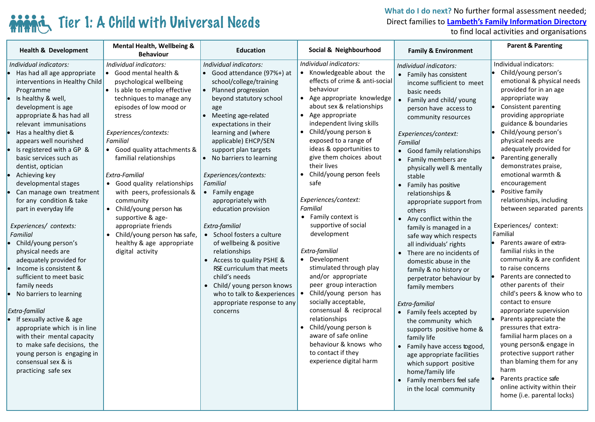### Tier 1: A Child with Universal Needs

**What do I do next?** No further formal assessment needed; Direct families to **[Lambeth's Family Information Directory](https://beta.lambeth.gov.uk/children-young-people-families/family-information-directory)** 

to find local activities and organisations

| <b>Health &amp; Development</b>                                                                                                                                                                                                                                                                                                                                                                                                                                                                                                                                                                                                                                                                                                                                                                                                                                                                                                                                                               | <b>Mental Health, Wellbeing &amp;</b><br><b>Behaviour</b>                                                                                                                                                                                                                                                                                                                                                                                                                                                                  | <b>Education</b>                                                                                                                                                                                                                                                                                                                                                                                                                                                                                                                                                                                                    | Social & Neighbourhood                                                                                                                                                                                                                                                                                                                                                                                                                                                                                                                                                                                                                                                                                                                                                                                                           | <b>Family &amp; Environment</b>                                                                                                                                                                                                                                                                                                                                                                                                                                                                                                                                                                                                                                                                                                                                                                                                                                                                                 | <b>Parent &amp; Parenting</b>                                                                                                                                                                                                                                                                                                                                                                                                                                                                                                                                                                                                                                                                                                                                                                                                                                                                                                                                        |
|-----------------------------------------------------------------------------------------------------------------------------------------------------------------------------------------------------------------------------------------------------------------------------------------------------------------------------------------------------------------------------------------------------------------------------------------------------------------------------------------------------------------------------------------------------------------------------------------------------------------------------------------------------------------------------------------------------------------------------------------------------------------------------------------------------------------------------------------------------------------------------------------------------------------------------------------------------------------------------------------------|----------------------------------------------------------------------------------------------------------------------------------------------------------------------------------------------------------------------------------------------------------------------------------------------------------------------------------------------------------------------------------------------------------------------------------------------------------------------------------------------------------------------------|---------------------------------------------------------------------------------------------------------------------------------------------------------------------------------------------------------------------------------------------------------------------------------------------------------------------------------------------------------------------------------------------------------------------------------------------------------------------------------------------------------------------------------------------------------------------------------------------------------------------|----------------------------------------------------------------------------------------------------------------------------------------------------------------------------------------------------------------------------------------------------------------------------------------------------------------------------------------------------------------------------------------------------------------------------------------------------------------------------------------------------------------------------------------------------------------------------------------------------------------------------------------------------------------------------------------------------------------------------------------------------------------------------------------------------------------------------------|-----------------------------------------------------------------------------------------------------------------------------------------------------------------------------------------------------------------------------------------------------------------------------------------------------------------------------------------------------------------------------------------------------------------------------------------------------------------------------------------------------------------------------------------------------------------------------------------------------------------------------------------------------------------------------------------------------------------------------------------------------------------------------------------------------------------------------------------------------------------------------------------------------------------|----------------------------------------------------------------------------------------------------------------------------------------------------------------------------------------------------------------------------------------------------------------------------------------------------------------------------------------------------------------------------------------------------------------------------------------------------------------------------------------------------------------------------------------------------------------------------------------------------------------------------------------------------------------------------------------------------------------------------------------------------------------------------------------------------------------------------------------------------------------------------------------------------------------------------------------------------------------------|
| Individual indicators:<br>Individual indicators:<br>Has had all age appropriate<br>interventions in Healthy Child<br>Programme<br>Is healthy & well,<br>development is age<br>appropriate & has had all<br>stress<br>relevant immunisations<br>Has a healthy diet &<br>Familial<br>appears well nourished<br>Is registered with a GP &<br>basic services such as<br>dentist, optician<br>Extra-Familial<br>Achieving key<br>developmental stages<br>Can manage own treatment<br>for any condition & take<br>community<br>part in everyday life<br>Experiences/ contexts:<br><b>Familial</b><br>Child/young person's<br>physical needs are<br>adequately provided for<br>Income is consistent &<br>sufficient to meet basic<br>family needs<br>No barriers to learning<br>Extra-familial<br>If sexually active & age<br>appropriate which is in line<br>with their mental capacity<br>to make safe decisions, the<br>young person is engaging in<br>consensual sex & is<br>practicing safe sex | • Good mental health &<br>psychological wellbeing<br>• Is able to employ effective<br>techniques to manage any<br>episodes of low mood or<br>age<br>Experiences/contexts:<br>• Good quality attachments &<br>familial relationships<br>• Good quality relationships<br>Familial<br>with peers, professionals &<br>• Family engage<br>• Child/young person has<br>supportive & age-<br>appropriate friends<br>Extra-familial<br>• Child/young person has safe,<br>healthy & age appropriate<br>digital activity<br>concerns | Individual indicators:<br>• Good attendance (97%+) at<br>school/college/training<br>• Planned progression<br>beyond statutory school<br>• Meeting age-related<br>expectations in their<br>learning and (where<br>applicable) EHCP/SEN<br>support plan targets<br>• No barriers to learning<br>Experiences/contexts:<br>appropriately with<br>education provision<br>• School fosters a culture<br>of wellbeing & positive<br>relationships<br>• Access to quality PSHE &<br>RSE curriculum that meets<br>child's needs<br>• Child/ young person knows<br>who to talk to &experiences<br>appropriate response to any | Individual indicators:<br>• Knowledgeable about the<br>effects of crime & anti-social<br>behaviour<br>• Age appropriate knowledge<br>about sex & relationships<br>• Age appropriate<br>independent living skills<br>• Child/young person is<br>exposed to a range of<br>ideas & opportunities to<br>give them choices about<br>their lives<br>Child/young person feels<br>safe<br>Experiences/context:<br><b>Familial</b><br>• Family context is<br>supportive of social<br>development<br>Extra-familial<br>• Development<br>stimulated through play<br>and/or appropriate<br>peer group interaction<br>Child/young person has<br>socially acceptable,<br>consensual & reciprocal<br>relationships<br>• Child/young person is<br>aware of safe online<br>behaviour & knows who<br>to contact if they<br>experience digital harm | Individual indicators:<br>• Family has consistent<br>income sufficient to meet<br>basic needs<br>• Family and child/ young<br>person have access to<br>community resources<br>Experiences/context:<br><b>Familial</b><br>• Good family relationships<br>• Family members are<br>physically well & mentally<br>stable<br>• Family has positive<br>relationships &<br>appropriate support from<br>others<br>• Any conflict within the<br>family is managed in a<br>safe way which respects<br>all individuals' rights<br>• There are no incidents of<br>domestic abuse in the<br>family & no history or<br>perpetrator behaviour by<br>family members<br>Extra-familial<br>• Family feels accepted by<br>the community which<br>supports positive home &<br>family life<br>• Family have access togood,<br>age appropriate facilities<br>which support positive<br>home/family life<br>• Family members feel safe | Individual indicators:<br>Child/young person's<br>emotional & physical needs<br>provided for in an age<br>appropriate way<br>Consistent parenting<br>providing appropriate<br>guidance & boundaries<br>Child/young person's<br>physical needs are<br>adequately provided for<br>Parenting generally<br>demonstrates praise,<br>emotional warmth &<br>encouragement<br>Positive family<br>relationships, including<br>between separated parents<br>Experiences/ context:<br>Familial<br>Parents aware of extra-<br>familial risks in the<br>community & are confident<br>to raise concerns<br>Parents are connected to<br>other parents of their<br>child's peers & know who to<br>contact to ensure<br>appropriate supervision<br>Parents appreciate the<br>pressures that extra-<br>familial harm places on a<br>young person& engage in<br>protective support rather<br>than blaming them for any<br>harm<br>Parents practice safe<br>online activity within their |
|                                                                                                                                                                                                                                                                                                                                                                                                                                                                                                                                                                                                                                                                                                                                                                                                                                                                                                                                                                                               |                                                                                                                                                                                                                                                                                                                                                                                                                                                                                                                            |                                                                                                                                                                                                                                                                                                                                                                                                                                                                                                                                                                                                                     |                                                                                                                                                                                                                                                                                                                                                                                                                                                                                                                                                                                                                                                                                                                                                                                                                                  | in the local community                                                                                                                                                                                                                                                                                                                                                                                                                                                                                                                                                                                                                                                                                                                                                                                                                                                                                          | home (i.e. parental locks)                                                                                                                                                                                                                                                                                                                                                                                                                                                                                                                                                                                                                                                                                                                                                                                                                                                                                                                                           |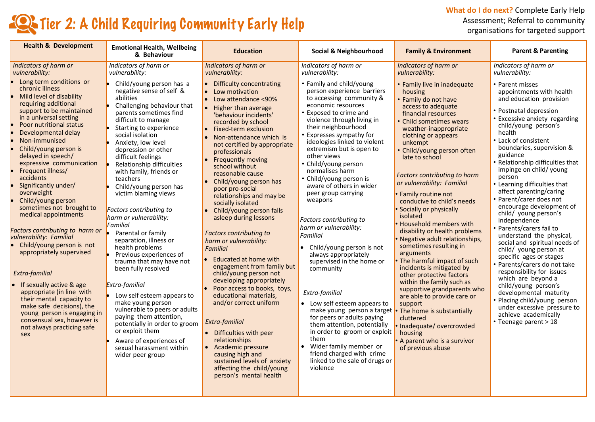**What do I do next?** Complete Early Help Assessment; Referral to community organisations for targeted support

### **Tier 2: A Child Requiring Community Early Help**

| <b>Health &amp; Development</b>                                                                                                                                                                                                                                                                                                                                                                                                                                                                                                                                                                                                                                                                                                                                                                                   | <b>Emotional Health, Wellbeing</b><br>& Behaviour                                                                                                                                                                                                                                                                                                                                                                                                                                                                                                                                                                                                                                                                                                                                                                                                                        | <b>Education</b>                                                                                                                                                                                                                                                                                                                                                                                                                                                                                                                                                                                                                                                                                                                                                                                                                                                                                                                                                          | Social & Neighbourhood                                                                                                                                                                                                                                                                                                                                                                                                                                                                                                                                                                                                                                                                                                                                                                                                                                                                                  | <b>Family &amp; Environment</b>                                                                                                                                                                                                                                                                                                                                                                                                                                                                                                                                                                                                                                                                                                                                                                                                                                                              | <b>Parent &amp; Parenting</b>                                                                                                                                                                                                                                                                                                                                                                                                                                                                                                                                                                                                                                                                                                                                                                                                                                               |
|-------------------------------------------------------------------------------------------------------------------------------------------------------------------------------------------------------------------------------------------------------------------------------------------------------------------------------------------------------------------------------------------------------------------------------------------------------------------------------------------------------------------------------------------------------------------------------------------------------------------------------------------------------------------------------------------------------------------------------------------------------------------------------------------------------------------|--------------------------------------------------------------------------------------------------------------------------------------------------------------------------------------------------------------------------------------------------------------------------------------------------------------------------------------------------------------------------------------------------------------------------------------------------------------------------------------------------------------------------------------------------------------------------------------------------------------------------------------------------------------------------------------------------------------------------------------------------------------------------------------------------------------------------------------------------------------------------|---------------------------------------------------------------------------------------------------------------------------------------------------------------------------------------------------------------------------------------------------------------------------------------------------------------------------------------------------------------------------------------------------------------------------------------------------------------------------------------------------------------------------------------------------------------------------------------------------------------------------------------------------------------------------------------------------------------------------------------------------------------------------------------------------------------------------------------------------------------------------------------------------------------------------------------------------------------------------|---------------------------------------------------------------------------------------------------------------------------------------------------------------------------------------------------------------------------------------------------------------------------------------------------------------------------------------------------------------------------------------------------------------------------------------------------------------------------------------------------------------------------------------------------------------------------------------------------------------------------------------------------------------------------------------------------------------------------------------------------------------------------------------------------------------------------------------------------------------------------------------------------------|----------------------------------------------------------------------------------------------------------------------------------------------------------------------------------------------------------------------------------------------------------------------------------------------------------------------------------------------------------------------------------------------------------------------------------------------------------------------------------------------------------------------------------------------------------------------------------------------------------------------------------------------------------------------------------------------------------------------------------------------------------------------------------------------------------------------------------------------------------------------------------------------|-----------------------------------------------------------------------------------------------------------------------------------------------------------------------------------------------------------------------------------------------------------------------------------------------------------------------------------------------------------------------------------------------------------------------------------------------------------------------------------------------------------------------------------------------------------------------------------------------------------------------------------------------------------------------------------------------------------------------------------------------------------------------------------------------------------------------------------------------------------------------------|
| Indicators of harm or<br>vulnerability:                                                                                                                                                                                                                                                                                                                                                                                                                                                                                                                                                                                                                                                                                                                                                                           | Indicators of harm or<br>vulnerability:                                                                                                                                                                                                                                                                                                                                                                                                                                                                                                                                                                                                                                                                                                                                                                                                                                  | <b>Indicators of harm or</b><br>vulnerability:                                                                                                                                                                                                                                                                                                                                                                                                                                                                                                                                                                                                                                                                                                                                                                                                                                                                                                                            | Indicators of harm or<br>vulnerability:                                                                                                                                                                                                                                                                                                                                                                                                                                                                                                                                                                                                                                                                                                                                                                                                                                                                 | <b>Indicators of harm or</b><br>vulnerability:                                                                                                                                                                                                                                                                                                                                                                                                                                                                                                                                                                                                                                                                                                                                                                                                                                               | Indicators of harm or<br>vulnerability:                                                                                                                                                                                                                                                                                                                                                                                                                                                                                                                                                                                                                                                                                                                                                                                                                                     |
| Long term conditions or<br>chronic illness<br>Mild level of disability<br>requiring additional<br>support to be maintained<br>in a universal setting<br>Poor nutritional status<br>Developmental delay<br>Non-immunised<br>Child/young person is<br>delayed in speech/<br>expressive communication<br>Frequent illness/<br>accidents<br>Significantly under/<br>overweight<br>Child/young person<br>sometimes not brought to<br>medical appointments<br>Factors contributing to harm or<br>vulnerability: Familial<br>Child/young person is not<br>appropriately supervised<br>Extra-familial<br>If sexually active & age<br>appropriate (in line with<br>their mental capacity to<br>make safe decisions), the<br>young person is engaging in<br>consensual sex, however is<br>not always practicing safe<br>sex | Child/young person has a<br>negative sense of self &<br>abilities<br>Challenging behaviour that<br>parents sometimes find<br>difficult to manage<br>Starting to experience<br>social isolation<br>Anxiety, low level<br>depression or other<br>difficult feelings<br>Relationship difficulties<br>with family, friends or<br>teachers<br>Child/young person has<br>victim blaming views<br>Factors contributing to<br>harm or vulnerability:<br>Familial<br>Parental or family<br>separation, illness or<br>health problems<br>Previous experiences of<br>trauma that may have not<br>been fully resolved<br>Extra-familial<br>Low self esteem appears to<br>make young person<br>vulnerable to peers or adults<br>paying them attention,<br>potentially in order to groom<br>or exploit them<br>Aware of experiences of<br>sexual harassment within<br>wider peer group | <b>Difficulty concentrating</b><br>• Low motivation<br>Low attendance <90%<br>Higher than average<br>'behaviour incidents'<br>recorded by school<br>Fixed-term exclusion<br>$\bullet$<br>Non-attendance which is<br>not certified by appropriate<br>professionals<br>Frequently moving<br>$\bullet$<br>school without<br>reasonable cause<br>Child/young person has<br>poor pro-social<br>relationships and may be<br>socially isolated<br>Child/young person falls<br>asleep during lessons<br><b>Factors contributing to</b><br>harm or vulnerability:<br><b>Familial</b><br>Educated at home with<br>engagement from family but<br>child/young person not<br>developing appropriately<br>Poor access to books, toys,<br>educational materials,<br>and/or correct uniform<br>Extra-familial<br>• Difficulties with peer<br>relationships<br>Academic pressure<br>causing high and<br>sustained levels of anxiety<br>affecting the child/young<br>person's mental health | • Family and child/young<br>person experience barriers<br>to accessing community &<br>economic resources<br>Exposed to crime and<br>violence through living in<br>their neighbourhood<br>Expresses sympathy for<br>ideologies linked to violent<br>extremism but is open to<br>other views<br>• Child/young person<br>normalises harm<br>• Child/young person is<br>aware of others in wider<br>peer group carrying<br>weapons<br>Factors contributing to<br>harm or vulnerability:<br>Familial<br>• Child/young person is not<br>always appropriately<br>supervised in the home or<br>community<br>Extra-familial<br>• Low self esteem appears to<br>make young person a target<br>for peers or adults paying<br>them attention, potentially<br>in order to groom or exploit<br>them<br>Wider family member or<br>$\bullet$<br>friend charged with crime<br>linked to the sale of drugs or<br>violence | • Family live in inadequate<br>housing<br>• Family do not have<br>access to adequate<br>financial resources<br>• Child sometimes wears<br>weather-inappropriate<br>clothing or appears<br>unkempt<br>• Child/young person often<br>late to school<br><b>Factors contributing to harm</b><br>or vulnerability: Familial<br>• Family routine not<br>conducive to child's needs<br>Socially or physically<br>isolated<br>Household members with<br>disability or health problems<br>• Negative adult relationships,<br>sometimes resulting in<br>arguments<br>The harmful impact of such<br>incidents is mitigated by<br>other protective factors<br>within the family such as<br>supportive grandparents who<br>are able to provide care or<br>support<br>• The home is substantially<br>cluttered<br>· Inadequate/overcrowded<br>housing<br>• A parent who is a survivor<br>of previous abuse | • Parent misses<br>appointments with health<br>and education provision<br>• Postnatal depression<br>• Excessive anxiety regarding<br>child/young person's<br>health<br>• Lack of consistent<br>boundaries, supervision &<br>guidance<br>• Relationship difficulties that<br>impinge on child/ young<br>person<br>• Learning difficulties that<br>affect parenting/caring<br>• Parent/carer does not<br>encourage development of<br>child/ young person's<br>independence<br>• Parents/carers fail to<br>understand the physical,<br>social and spiritual needs of<br>child/ young person at<br>specific ages or stages<br>• Parents/carers do not take<br>responsibility for issues<br>which are beyond a<br>child/young person's<br>developmental maturity<br>• Placing child/young person<br>under excessive pressure to<br>achieve academically<br>• Teenage parent > 18 |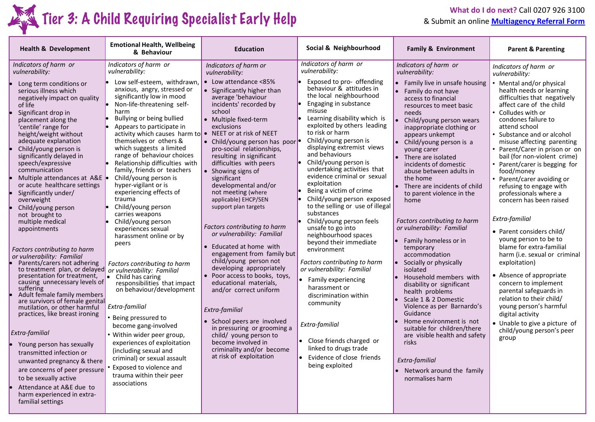

# What do I do next? Call 0207 926 3100<br>**Tier 3: A Child Requiring Specialist Early Help** & Submit an online **Multiagency Referral Form**

& Submit an online **[Multiagency Referral Form](https://forms.lambeth.gov.uk/MULTI-AGENCY-REFERRRAL-FORM/launch)**

| <b>Health &amp; Development</b>                                                                                                                                                                                                                                                                                                                                                                                                                                                                                                                                                                                                                                                | <b>Emotional Health, Wellbeing</b><br>& Behaviour                                                                                                                                                                                                                                                                                                                                                                                                                                         | <b>Education</b>                                                                                                                                                                                                                                                                                                                                                                                                                                       | Social & Neighbourhood                                                                                                                                                                                                                                                                                                                                                                                                                                                             | <b>Family &amp; Environment</b>                                                                                                                                                                                                                                                                                                                                                                                                                                                              | <b>Parent &amp; Parenting</b>                                                                                                                                                                                                                                                                                                                                                                                                                                        |
|--------------------------------------------------------------------------------------------------------------------------------------------------------------------------------------------------------------------------------------------------------------------------------------------------------------------------------------------------------------------------------------------------------------------------------------------------------------------------------------------------------------------------------------------------------------------------------------------------------------------------------------------------------------------------------|-------------------------------------------------------------------------------------------------------------------------------------------------------------------------------------------------------------------------------------------------------------------------------------------------------------------------------------------------------------------------------------------------------------------------------------------------------------------------------------------|--------------------------------------------------------------------------------------------------------------------------------------------------------------------------------------------------------------------------------------------------------------------------------------------------------------------------------------------------------------------------------------------------------------------------------------------------------|------------------------------------------------------------------------------------------------------------------------------------------------------------------------------------------------------------------------------------------------------------------------------------------------------------------------------------------------------------------------------------------------------------------------------------------------------------------------------------|----------------------------------------------------------------------------------------------------------------------------------------------------------------------------------------------------------------------------------------------------------------------------------------------------------------------------------------------------------------------------------------------------------------------------------------------------------------------------------------------|----------------------------------------------------------------------------------------------------------------------------------------------------------------------------------------------------------------------------------------------------------------------------------------------------------------------------------------------------------------------------------------------------------------------------------------------------------------------|
| Indicators of harm or<br>vulnerability:                                                                                                                                                                                                                                                                                                                                                                                                                                                                                                                                                                                                                                        | Indicators of harm or<br>vulnerability:                                                                                                                                                                                                                                                                                                                                                                                                                                                   | Indicators of harm or<br>vulnerability:                                                                                                                                                                                                                                                                                                                                                                                                                | Indicators of harm or<br>vulnerability:                                                                                                                                                                                                                                                                                                                                                                                                                                            | Indicators of harm or<br>vulnerability:                                                                                                                                                                                                                                                                                                                                                                                                                                                      | Indicators of harm or<br>vulnerability:                                                                                                                                                                                                                                                                                                                                                                                                                              |
| Long term conditions or<br>serious illness which<br>negatively impact on quality<br>of life<br>Significant drop in<br>placement along the<br>'centile' range for<br>height/weight without<br>adequate explanation<br>Child/young person is<br>significantly delayed in<br>speech/expressive<br>communication<br>Multiple attendances at A&E .<br>or acute healthcare settings<br>Significantly under/<br>overweight<br>Child/young person                                                                                                                                                                                                                                      | Low self-esteem, withdrawn,<br>anxious, angry, stressed or<br>significantly low in mood<br>Non-life-threatening self-<br>harm<br>Bullying or being bullied<br>Appears to participate in<br>activity which causes harm to<br>themselves or others &<br>which suggests a limited<br>range of behaviour choices<br>Relationship difficulties with<br>family, friends or teachers<br>Child/young person is<br>hyper-vigilant or is<br>experiencing effects of<br>trauma<br>Child/young person | • Low attendance <85%<br>• Significantly higher than<br>average 'behaviour<br>incidents' recorded by<br>school<br>• Multiple fixed-term<br>exclusions<br>NEET or at risk of NEET<br>$\bullet$<br>• Child/young person has poor<br>pro-social relationships,<br>resulting in significant<br>difficulties with peers<br>• Showing signs of<br>significant<br>developmental and/or<br>not meeting (where<br>applicable) EHCP/SEN<br>support plan targets  | Exposed to pro- offending<br>behaviour & attitudes in<br>the local neighbourhood<br>Engaging in substance<br>misuse<br>Learning disability which is<br>exploited by others leading<br>to risk or harm<br>Child/young person is<br>displaying extremist views<br>and behaviours<br>Child/young person is<br>undertaking activities that<br>evidence criminal or sexual<br>exploitation<br>Being a victim of crime<br>Child/young person exposed<br>to the selling or use of illegal | • Family live in unsafe housing<br>Family do not have<br>$\bullet$<br>access to financial<br>resources to meet basic<br>needs<br>$\bullet$<br>Child/young person wears<br>inappropriate clothing or<br>appears unkempt<br>• Child/young person is a<br>young carer<br>$\bullet$ There are isolated<br>incidents of domestic<br>abuse between adults in<br>the home<br>$\bullet$<br>There are incidents of child<br>to parent violence in the<br>home                                         | • Mental and/or physical<br>health needs or learning<br>difficulties that negatively<br>affect care of the child<br>• Colludes with or<br>condones failure to<br>attend school<br>• Substance and or alcohol<br>misuse affecting parenting<br>Parent/Carer in prison or on<br>bail (for non-violent crime)<br>• Parent/carer is begging for<br>food/money<br>Parent/carer avoiding or<br>refusing to engage with<br>professionals where a<br>concern has been raised |
| not brought to<br>multiple medical<br>appointments<br>Factors contributing to harm<br>or vulnerability: Familial<br>Parents/carers not adhering<br>to treatment plan, or delayed or vulnerability: Familial<br>presentation for treatment,<br>causing unnecessary levels of<br>suffering<br>Adult female family members<br>are survivors of female genital<br>mutilation, or other harmful<br>practices, like breast ironing<br>Extra-familial<br>Young person has sexually<br>transmitted infection or<br>unwanted pregnancy & there<br>are concerns of peer pressure<br>to be sexually active<br>Attendance at A&E due to<br>harm experienced in extra-<br>familial settings | carries weapons<br>Child/young person<br>experiences sexual<br>harassment online or by<br>peers<br>Factors contributing to harm<br>Child has caring<br>responsibilities that impact<br>on behaviour/development<br>Extra-familial<br>· Being pressured to<br>become gang-involved<br>• Within wider peer group,<br>experiences of exploitation<br>(including sexual and<br>criminal) or sexual assault<br>Exposed to violence and<br>trauma within their peer<br>associations             | Factors contributing to harm<br>or vulnerability: Familial<br>• Educated at home with<br>engagement from family but<br>child/young person not<br>developing appropriately<br>• Poor access to books, toys,<br>educational materials,<br>and/or correct uniform<br>Extra-familial<br>• School peers are involved<br>in pressuring or grooming a<br>child/ young person to<br>become involved in<br>criminality and/or become<br>at risk of exploitation | substances<br>Child/young person feels<br>unsafe to go into<br>neighbourhood spaces<br>beyond their immediate<br>environment<br>Factors contributing to harm<br>or vulnerability: Familial<br>• Family experiencing<br>harassment or<br>discrimination within<br>community<br>Extra-familial<br>• Close friends charged or<br>linked to drugs trade<br>Evidence of close friends<br>being exploited                                                                                | Factors contributing to harm<br>or vulnerability: Familial<br>$\bullet$ Family homeless or in<br>temporary<br>accommodation<br>Socially or physically<br>le.<br>isolated<br>Household members with<br>disability or significant<br>health problems<br>Scale 1 & 2 Domestic<br>Violence as per Barnardo's<br>Guidance<br>Home environment is not<br>suitable for children/there<br>are visible health and safety<br>risks<br>Extra-familial<br>• Network around the family<br>normalises harm | Extra-familial<br>• Parent considers child/<br>young person to be to<br>blame for extra-familial<br>harm (i.e. sexual or criminal<br>exploitation)<br>• Absence of appropriate<br>concern to implement<br>parental safeguards in<br>relation to their child/<br>young person's harmful<br>digital activity<br>• Unable to give a picture of<br>child/young person's peer<br>group                                                                                    |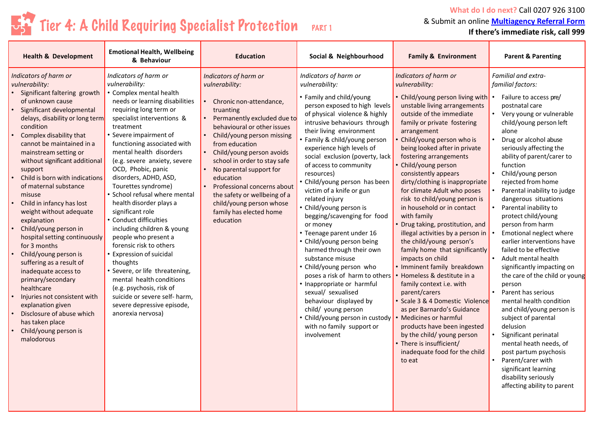### $T_5$ <sup>2</sup> Tier 4: A Child Requiring Specialist Protection PART 1

**What do I do next?** Call 0207 926 3100 & Submit an online **[Multiagency Referral Form](https://forms.lambeth.gov.uk/MULTI-AGENCY-REFERRRAL-FORM/launch) If there's immediate risk, call 999**

| <b>Health &amp; Development</b>                                                                                                                                                                                                                                                                                                                                                                                                                                                                                                                                                                                                                                                                                                                                                          | <b>Emotional Health, Wellbeing</b><br>& Behaviour                                                                                                                                                                                                                                                                                                                                                                                                                                                                                                                                                                                                                                                                                                                                    | <b>Education</b>                                                                                                                                                                                                                                                                                                                                                                                                                      | Social & Neighbourhood                                                                                                                                                                                                                                                                                                                                                                                                                                                                                                                                                                                                                                                                                                                                                                                                                                       | <b>Family &amp; Environment</b>                                                                                                                                                                                                                                                                                                                                                                                                                                                                                                                                                                                                                                                                                                                                                                                                                                                                                                                                            | <b>Parent &amp; Parenting</b>                                                                                                                                                                                                                                                                                                                                                                                                                                                                                                                                                                                                                                                                                                                                                                                                                                                                                                                                             |
|------------------------------------------------------------------------------------------------------------------------------------------------------------------------------------------------------------------------------------------------------------------------------------------------------------------------------------------------------------------------------------------------------------------------------------------------------------------------------------------------------------------------------------------------------------------------------------------------------------------------------------------------------------------------------------------------------------------------------------------------------------------------------------------|--------------------------------------------------------------------------------------------------------------------------------------------------------------------------------------------------------------------------------------------------------------------------------------------------------------------------------------------------------------------------------------------------------------------------------------------------------------------------------------------------------------------------------------------------------------------------------------------------------------------------------------------------------------------------------------------------------------------------------------------------------------------------------------|---------------------------------------------------------------------------------------------------------------------------------------------------------------------------------------------------------------------------------------------------------------------------------------------------------------------------------------------------------------------------------------------------------------------------------------|--------------------------------------------------------------------------------------------------------------------------------------------------------------------------------------------------------------------------------------------------------------------------------------------------------------------------------------------------------------------------------------------------------------------------------------------------------------------------------------------------------------------------------------------------------------------------------------------------------------------------------------------------------------------------------------------------------------------------------------------------------------------------------------------------------------------------------------------------------------|----------------------------------------------------------------------------------------------------------------------------------------------------------------------------------------------------------------------------------------------------------------------------------------------------------------------------------------------------------------------------------------------------------------------------------------------------------------------------------------------------------------------------------------------------------------------------------------------------------------------------------------------------------------------------------------------------------------------------------------------------------------------------------------------------------------------------------------------------------------------------------------------------------------------------------------------------------------------------|---------------------------------------------------------------------------------------------------------------------------------------------------------------------------------------------------------------------------------------------------------------------------------------------------------------------------------------------------------------------------------------------------------------------------------------------------------------------------------------------------------------------------------------------------------------------------------------------------------------------------------------------------------------------------------------------------------------------------------------------------------------------------------------------------------------------------------------------------------------------------------------------------------------------------------------------------------------------------|
| Indicators of harm or<br>vulnerability:<br>Significant faltering growth<br>of unknown cause<br>Significant developmental<br>delays, disability or long term<br>condition<br>Complex disability that<br>cannot be maintained in a<br>mainstream setting or<br>without significant additional<br>support<br>Child is born with indications<br>of maternal substance<br>misuse<br>Child in infancy has lost<br>weight without adequate<br>explanation<br>Child/young person in<br>hospital setting continuously<br>for 3 months<br>Child/young person is<br>suffering as a result of<br>inadequate access to<br>primary/secondary<br>healthcare<br>Injuries not consistent with<br>explanation given<br>Disclosure of abuse which<br>has taken place<br>Child/young person is<br>malodorous | Indicators of harm or<br>vulnerability:<br>• Complex mental health<br>needs or learning disabilities<br>requiring long term or<br>specialist interventions &<br>treatment<br>• Severe impairment of<br>functioning associated with<br>mental health disorders<br>(e.g. severe anxiety, severe<br>OCD, Phobic, panic<br>disorders, ADHD, ASD,<br>Tourettes syndrome)<br>• School refusal where mental<br>health disorder plays a<br>significant role<br>• Conduct difficulties<br>including children & young<br>people who present a<br>forensic risk to others<br>• Expression of suicidal<br>thoughts<br>· Severe, or life threatening,<br>mental health conditions<br>(e.g. psychosis, risk of<br>suicide or severe self- harm,<br>severe depressive episode,<br>anorexia nervosa) | Indicators of harm or<br>vulnerability:<br>Chronic non-attendance,<br>truanting<br>Permanently excluded due to<br>behavioural or other issues<br>Child/young person missing<br>from education<br>Child/young person avoids<br>school in order to stay safe<br>No parental support for<br>education<br>Professional concerns about<br>the safety or wellbeing of a<br>child/young person whose<br>family has elected home<br>education | Indicators of harm or<br>vulnerability:<br>• Family and child/young<br>person exposed to high levels<br>of physical violence & highly<br>intrusive behaviours through<br>their living environment<br>• Family & child/young person<br>experience high levels of<br>social exclusion (poverty, lack<br>of access to community<br>resources)<br>· Child/young person has been<br>victim of a knife or gun<br>related injury<br>• Child/young person is<br>begging/scavenging for food<br>or money<br>• Teenage parent under 16<br>• Child/young person being<br>harmed through their own<br>substance misuse<br>• Child/young person who<br>poses a risk of harm to others<br>• Inappropriate or harmful<br>sexual/ sexualised<br>behaviour displayed by<br>child/ young person<br>• Child/young person in custody<br>with no family support or<br>involvement | Indicators of harm or<br>vulnerability:<br>• Child/young person living with •<br>unstable living arrangements<br>outside of the immediate<br>family or private fostering<br>arrangement<br>Child/young person who is<br>being looked after in private<br>fostering arrangements<br>Child/young person<br>consistently appears<br>dirty/clothing is inappropriate<br>for climate Adult who poses<br>risk to child/young person is<br>in household or in contact<br>with family<br>Drug taking, prostitution, and<br>illegal activities by a person in<br>the child/young person's<br>family home that significantly<br>impacts on child<br>· Imminent family breakdown<br>Homeless & destitute in a<br>family context i.e. with<br>parent/carers<br>• Scale 3 & 4 Domestic Violence<br>as per Barnardo's Guidance<br>Medicines or harmful<br>products have been ingested<br>by the child/ young person<br>There is insufficient/<br>inadequate food for the child<br>to eat | <b>Familial and extra-</b><br>familial factors:<br>Failure to access pre/<br>postnatal care<br>Very young or vulnerable<br>$\bullet$<br>child/young person left<br>alone<br>Drug or alcohol abuse<br>seriously affecting the<br>ability of parent/carer to<br>function<br>$\bullet$<br>Child/young person<br>rejected from home<br>Parental inability to judge<br>dangerous situations<br>Parental inability to<br>$\bullet$<br>protect child/young<br>person from harm<br>Emotional neglect where<br>earlier interventions have<br>failed to be effective<br>$\bullet$<br>Adult mental health<br>significantly impacting on<br>the care of the child or young<br>person<br>Parent has serious<br>mental health condition<br>and child/young person is<br>subject of parental<br>delusion<br>Significant perinatal<br>mental heath needs, of<br>post partum psychosis<br>Parent/carer with<br>significant learning<br>disability seriously<br>affecting ability to parent |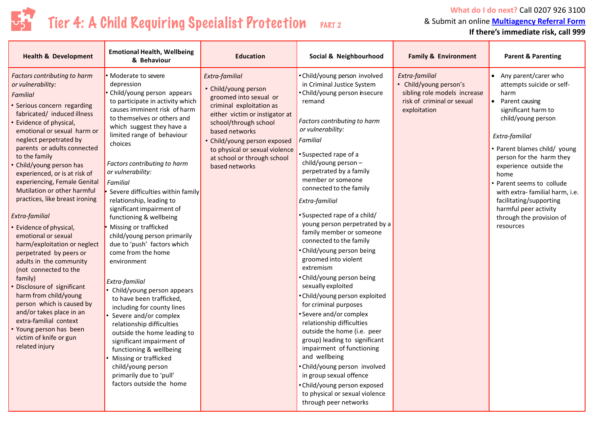

### Tier 4: A Child Requiring Specialist Protection PART 2

**What do I do next?** Call 0207 926 3100 & Submit an online **[Multiagency Referral Form](https://forms.lambeth.gov.uk/MULTI-AGENCY-REFERRRAL-FORM/launch)**

**If there's immediate risk, call 999**

| <b>Health &amp; Development</b>                                                                                                                                                                                                                                                                                                                                                                                                                                                                                                                                                                                                                                                                                                                                                                                                                   | <b>Emotional Health, Wellbeing</b><br>& Behaviour                                                                                                                                                                                                                                                                                                                                                                                                                                                                                                                                                                                                                                                                                                                                                                                                                                                                                 | <b>Education</b>                                                                                                                                                                                                                                                                             | Social & Neighbourhood                                                                                                                                                                                                                                                                                                                                                                                                                                                                                                                                                                                                                                                                                                                                                                                                                                                                                                                                      | <b>Family &amp; Environment</b>                                                                                        | <b>Parent &amp; Parenting</b>                                                                                                                                                                                                                                                                                                                                                                            |
|---------------------------------------------------------------------------------------------------------------------------------------------------------------------------------------------------------------------------------------------------------------------------------------------------------------------------------------------------------------------------------------------------------------------------------------------------------------------------------------------------------------------------------------------------------------------------------------------------------------------------------------------------------------------------------------------------------------------------------------------------------------------------------------------------------------------------------------------------|-----------------------------------------------------------------------------------------------------------------------------------------------------------------------------------------------------------------------------------------------------------------------------------------------------------------------------------------------------------------------------------------------------------------------------------------------------------------------------------------------------------------------------------------------------------------------------------------------------------------------------------------------------------------------------------------------------------------------------------------------------------------------------------------------------------------------------------------------------------------------------------------------------------------------------------|----------------------------------------------------------------------------------------------------------------------------------------------------------------------------------------------------------------------------------------------------------------------------------------------|-------------------------------------------------------------------------------------------------------------------------------------------------------------------------------------------------------------------------------------------------------------------------------------------------------------------------------------------------------------------------------------------------------------------------------------------------------------------------------------------------------------------------------------------------------------------------------------------------------------------------------------------------------------------------------------------------------------------------------------------------------------------------------------------------------------------------------------------------------------------------------------------------------------------------------------------------------------|------------------------------------------------------------------------------------------------------------------------|----------------------------------------------------------------------------------------------------------------------------------------------------------------------------------------------------------------------------------------------------------------------------------------------------------------------------------------------------------------------------------------------------------|
| <b>Factors contributing to harm</b><br>or vulnerability:<br>Familial<br>· Serious concern regarding<br>fabricated/ induced illness<br>Evidence of physical,<br>emotional or sexual harm or<br>neglect perpetrated by<br>parents or adults connected<br>to the family<br>Child/young person has<br>experienced, or is at risk of<br>experiencing, Female Genital<br>Mutilation or other harmful<br>practices, like breast ironing<br>Extra-familial<br><b>Evidence of physical,</b><br>emotional or sexual<br>harm/exploitation or neglect<br>perpetrated by peers or<br>adults in the community<br>(not connected to the<br>family)<br>Disclosure of significant<br>harm from child/young<br>person which is caused by<br>and/or takes place in an<br>extra-familial context<br>Young person has been<br>victim of knife or gun<br>related injury | • Moderate to severe<br>depression<br>• Child/young person appears<br>to participate in activity which<br>causes imminent risk of harm<br>to themselves or others and<br>which suggest they have a<br>limited range of behaviour<br>choices<br>Factors contributing to harm<br>or vulnerability:<br>Familial<br>Severe difficulties within family<br>relationship, leading to<br>significant impairment of<br>functioning & wellbeing<br>Missing or trafficked<br>child/young person primarily<br>due to 'push' factors which<br>come from the home<br>environment<br>Extra-familial<br>• Child/young person appears<br>to have been trafficked,<br>including for county lines<br>Severe and/or complex<br>relationship difficulties<br>outside the home leading to<br>significant impairment of<br>functioning & wellbeing<br>Missing or trafficked<br>child/young person<br>primarily due to 'pull'<br>factors outside the home | Extra-familial<br>• Child/young person<br>groomed into sexual or<br>criminal exploitation as<br>either victim or instigator at<br>school/through school<br>based networks<br>• Child/young person exposed<br>to physical or sexual violence<br>at school or through school<br>based networks | • Child/young person involved<br>in Criminal Justice System<br>• Child/young person insecure<br>remand<br>Factors contributing to harm<br>or vulnerability:<br>Familial<br>·Suspected rape of a<br>child/young person -<br>perpetrated by a family<br>member or someone<br>connected to the family<br>Extra-familial<br>• Suspected rape of a child/<br>young person perpetrated by a<br>family member or someone<br>connected to the family<br>• Child/young person being<br>groomed into violent<br>extremism<br>• Child/young person being<br>sexually exploited<br>• Child/young person exploited<br>for criminal purposes<br>• Severe and/or complex<br>relationship difficulties<br>outside the home (i.e. peer<br>group) leading to significant<br>impairment of functioning<br>and wellbeing<br>• Child/young person involved<br>in group sexual offence<br>• Child/young person exposed<br>to physical or sexual violence<br>through peer networks | Extra-familial<br>• Child/young person's<br>sibling role models increase<br>risk of criminal or sexual<br>exploitation | • Any parent/carer who<br>attempts suicide or self-<br>harm<br>• Parent causing<br>significant harm to<br>child/young person<br>Extra-familial<br>• Parent blames child/ young<br>person for the harm they<br>experience outside the<br>home<br>• Parent seems to collude<br>with extra-familial harm, i.e.<br>facilitating/supporting<br>harmful peer activity<br>through the provision of<br>resources |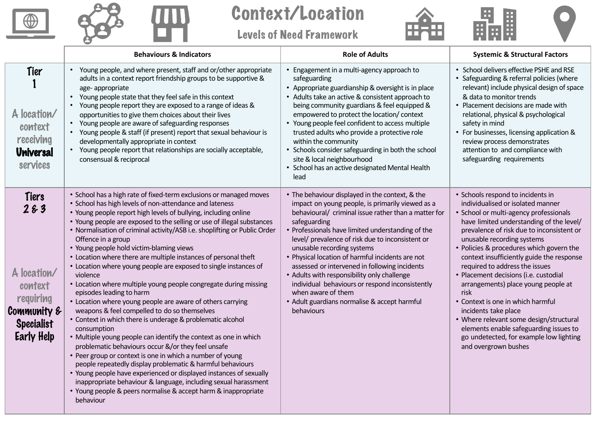



Context/Location

Levels of Need Framework





|                                                                                                              | <b>Behaviours &amp; Indicators</b>                                                                                                                                                                                                                                                                                                                                                                                                                                                                                                                                                                                                                                                                                                                                                                                                                                                                                                                                                                                                                                                                                                                                                                                                                                                                                                                   | <b>Role of Adults</b>                                                                                                                                                                                                                                                                                                                                                                                                                                                                                                                                                                                         | <b>Systemic &amp; Structural Factors</b>                                                                                                                                                                                                                                                                                                                                                                                                                                                                                                                                                                                                                                        |
|--------------------------------------------------------------------------------------------------------------|------------------------------------------------------------------------------------------------------------------------------------------------------------------------------------------------------------------------------------------------------------------------------------------------------------------------------------------------------------------------------------------------------------------------------------------------------------------------------------------------------------------------------------------------------------------------------------------------------------------------------------------------------------------------------------------------------------------------------------------------------------------------------------------------------------------------------------------------------------------------------------------------------------------------------------------------------------------------------------------------------------------------------------------------------------------------------------------------------------------------------------------------------------------------------------------------------------------------------------------------------------------------------------------------------------------------------------------------------|---------------------------------------------------------------------------------------------------------------------------------------------------------------------------------------------------------------------------------------------------------------------------------------------------------------------------------------------------------------------------------------------------------------------------------------------------------------------------------------------------------------------------------------------------------------------------------------------------------------|---------------------------------------------------------------------------------------------------------------------------------------------------------------------------------------------------------------------------------------------------------------------------------------------------------------------------------------------------------------------------------------------------------------------------------------------------------------------------------------------------------------------------------------------------------------------------------------------------------------------------------------------------------------------------------|
| Tier<br>A location/<br>context<br>receiving<br><b>Universal</b><br>services                                  | Young people, and where present, staff and or/other appropriate<br>$\bullet$<br>adults in a context report friendship groups to be supportive &<br>age-appropriate<br>Young people state that they feel safe in this context<br>• Young people report they are exposed to a range of ideas &<br>opportunities to give them choices about their lives<br>• Young people are aware of safeguarding responses<br>• Young people & staff (if present) report that sexual behaviour is<br>developmentally appropriate in context<br>Young people report that relationships are socially acceptable,<br>consensual & reciprocal                                                                                                                                                                                                                                                                                                                                                                                                                                                                                                                                                                                                                                                                                                                            | • Engagement in a multi-agency approach to<br>safeguarding<br>• Appropriate guardianship & oversight is in place<br>• Adults take an active & consistent approach to<br>being community guardians & feel equipped &<br>empowered to protect the location/ context<br>• Young people feel confident to access multiple<br>trusted adults who provide a protective role<br>within the community<br>• Schools consider safeguarding in both the school<br>site & local neighbourhood<br>• School has an active designated Mental Health<br>lead                                                                  | • School delivers effective PSHE and RSE<br>• Safeguarding & referral policies (where<br>relevant) include physical design of space<br>& data to monitor trends<br>• Placement decisions are made with<br>relational, physical & psychological<br>safety in mind<br>• For businesses, licensing application &<br>review process demonstrates<br>attention to and compliance with<br>safeguarding requirements                                                                                                                                                                                                                                                                   |
| Tiers<br>283<br>A location/<br>context<br>requiring<br>Community &<br><b>Specialist</b><br><b>Early Help</b> | • School has a high rate of fixed-term exclusions or managed moves<br>• School has high levels of non-attendance and lateness<br>• Young people report high levels of bullying, including online<br>• Young people are exposed to the selling or use of illegal substances<br>• Normalisation of criminal activity/ASB i.e. shoplifting or Public Order<br>Offence in a group<br>• Young people hold victim-blaming views<br>• Location where there are multiple instances of personal theft<br>• Location where young people are exposed to single instances of<br>violence<br>• Location where multiple young people congregate during missing<br>episodes leading to harm<br>• Location where young people are aware of others carrying<br>weapons & feel compelled to do so themselves<br>• Context in which there is underage & problematic alcohol<br>consumption<br>• Multiple young people can identify the context as one in which<br>problematic behaviours occur &/or they feel unsafe<br>• Peer group or context is one in which a number of young<br>people repeatedly display problematic & harmful behaviours<br>• Young people have experienced or displayed instances of sexually<br>inappropriate behaviour & language, including sexual harassment<br>• Young people & peers normalise & accept harm & inappropriate<br>behaviour | • The behaviour displayed in the context, & the<br>impact on young people, is primarily viewed as a<br>behavioural/ criminal issue rather than a matter for<br>safeguarding<br>• Professionals have limited understanding of the<br>level/ prevalence of risk due to inconsistent or<br>unusable recording systems<br>• Physical location of harmful incidents are not<br>assessed or intervened in following incidents<br>• Adults with responsibility only challenge<br>individual behaviours or respond inconsistently<br>when aware of them<br>• Adult guardians normalise & accept harmful<br>behaviours | • Schools respond to incidents in<br>individualised or isolated manner<br>· School or multi-agency professionals<br>have limited understanding of the level/<br>prevalence of risk due to inconsistent or<br>unusable recording systems<br>• Policies & procedures which govern the<br>context insufficiently guide the response<br>required to address the issues<br>• Placement decisions (i.e. custodial<br>arrangements) place young people at<br>risk<br>• Context is one in which harmful<br>incidents take place<br>• Where relevant some design/structural<br>elements enable safeguarding issues to<br>go undetected, for example low lighting<br>and overgrown bushes |